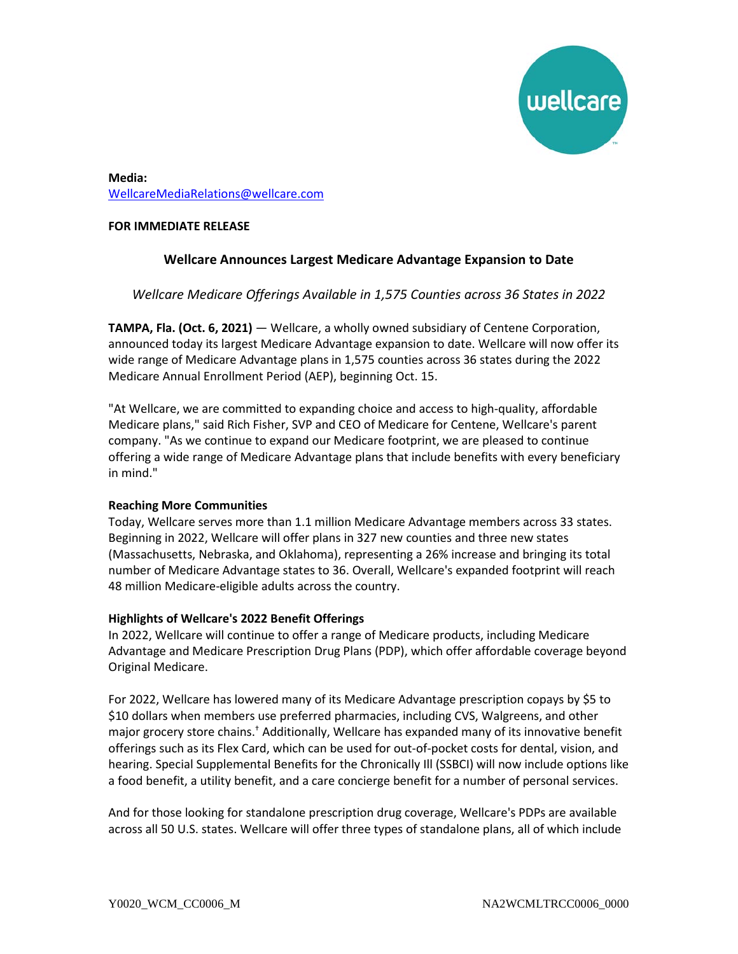

**Media:** [WellcareMediaRelations@wellcare.com](mailto:WellcareMediaRelations@wellcare.com)

### **FOR IMMEDIATE RELEASE**

# **Wellcare Announces Largest Medicare Advantage Expansion to Date**

# *Wellcare Medicare Offerings Available in 1,575 Counties across 36 States in 2022*

**TAMPA, Fla. (Oct. 6, 2021)** — Wellcare, a wholly owned subsidiary of Centene Corporation, announced today its largest Medicare Advantage expansion to date. Wellcare will now offer its wide range of Medicare Advantage plans in 1,575 counties across 36 states during the 2022 Medicare Annual Enrollment Period (AEP), beginning Oct. 15.

"At Wellcare, we are committed to expanding choice and access to high-quality, affordable Medicare plans," said Rich Fisher, SVP and CEO of Medicare for Centene, Wellcare's parent company. "As we continue to expand our Medicare footprint, we are pleased to continue offering a wide range of Medicare Advantage plans that include benefits with every beneficiary in mind."

#### **Reaching More Communities**

Today, Wellcare serves more than 1.1 million Medicare Advantage members across 33 states. Beginning in 2022, Wellcare will offer plans in 327 new counties and three new states (Massachusetts, Nebraska, and Oklahoma), representing a 26% increase and bringing its total number of Medicare Advantage states to 36. Overall, Wellcare's expanded footprint will reach 48 million Medicare-eligible adults across the country.

## **Highlights of Wellcare's 2022 Benefit Offerings**

In 2022, Wellcare will continue to offer a range of Medicare products, including Medicare Advantage and Medicare Prescription Drug Plans (PDP), which offer affordable coverage beyond Original Medicare.

For 2022, Wellcare has lowered many of its Medicare Advantage prescription copays by \$5 to \$10 dollars when members use preferred pharmacies, including CVS, Walgreens, and other major grocery store chains.† Additionally, Wellcare has expanded many of its innovative benefit offerings such as its Flex Card, which can be used for out-of-pocket costs for dental, vision, and hearing. Special Supplemental Benefits for the Chronically Ill (SSBCI) will now include options like a food benefit, a utility benefit, and a care concierge benefit for a number of personal services.

And for those looking for standalone prescription drug coverage, Wellcare's PDPs are available across all 50 U.S. states. Wellcare will offer three types of standalone plans, all of which include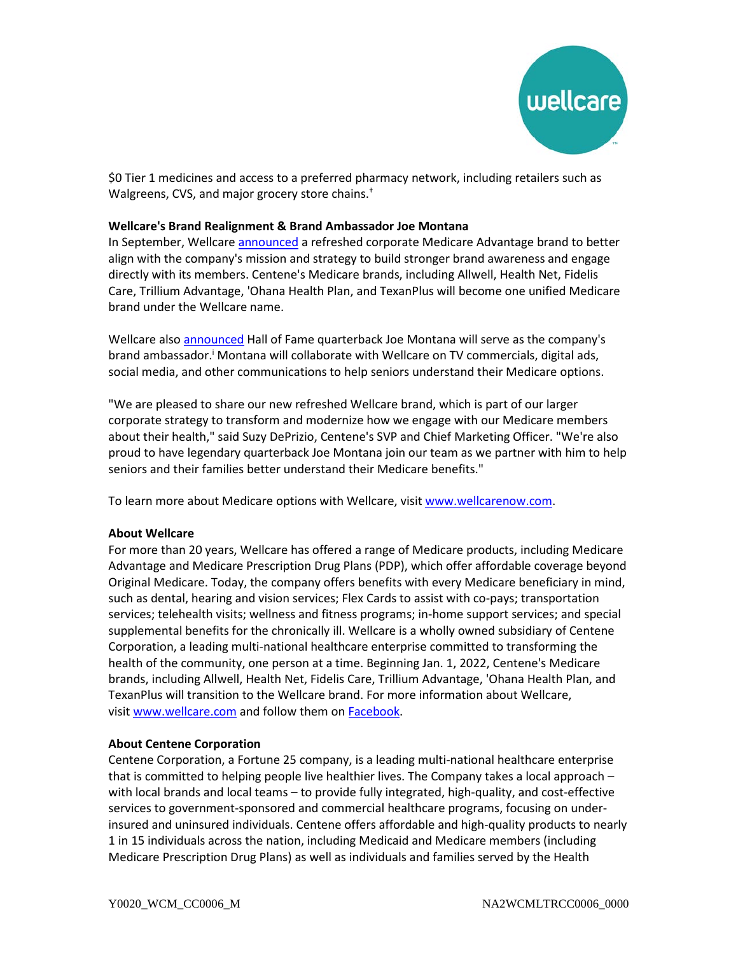

\$0 Tier 1 medicines and access to a preferred pharmacy network, including retailers such as Walgreens, CVS, and major grocery store chains.<sup>†</sup>

### **Wellcare's Brand Realignment & Brand Ambassador Joe Montana**

In September, Wellcare [announced](https://urldefense.com/v3/__https:/c212.net/c/link/?t=0&l=en&o=3310934-2&h=1106374896&u=https*3A*2F*2Fwww.prnewswire.com*2Fnews-releases*2Fwellcare-announces-refreshed-brand-in-effort-to-better-serve-medicare-members-301366933.html&a=announced__;JSUlJSU!!Js732Vmb!8iimmVEYlIj76g5CGoS9a3JJWvSu1Gnh3nENaOlN-mhXSWY-vo5JiYc1XHlYBzvlP00p$) a refreshed corporate Medicare Advantage brand to better align with the company's mission and strategy to build stronger brand awareness and engage directly with its members. Centene's Medicare brands, including Allwell, Health Net, Fidelis Care, Trillium Advantage, 'Ohana Health Plan, and TexanPlus will become one unified Medicare brand under the Wellcare name.

Wellcare also [announced](https://urldefense.com/v3/__https:/c212.net/c/link/?t=0&l=en&o=3310934-2&h=2369189477&u=https*3A*2F*2Fwww.prnewswire.com*2Fnews-releases*2Fwellcare-announces-legendary-quarterback-joe-montana-to-serve-as-brand-ambassador-301377300.html&a=announced__;JSUlJSU!!Js732Vmb!8iimmVEYlIj76g5CGoS9a3JJWvSu1Gnh3nENaOlN-mhXSWY-vo5JiYc1XHlYBzVX_Q7o$) Hall of Fame quarterback Joe Montana will serve as the company's brand ambassador.<sup>i</sup> Montana will collaborate with Wellcare on TV commercials, digital ads, social media, and other communications to help seniors understand their Medicare options.

"We are pleased to share our new refreshed Wellcare brand, which is part of our larger corporate strategy to transform and modernize how we engage with our Medicare members about their health," said Suzy DePrizio, Centene's SVP and Chief Marketing Officer. "We're also proud to have legendary quarterback Joe Montana join our team as we partner with him to help seniors and their families better understand their Medicare benefits."

To learn more about Medicare options with Wellcare, visit [www.wellcarenow.com.](https://urldefense.com/v3/__https:/c212.net/c/link/?t=0&l=en&o=3310934-2&h=837389767&u=http*3A*2F*2Fwww.wellcarenow.com*2F&a=www.wellcarenow.com__;JSUlJQ!!Js732Vmb!8iimmVEYlIj76g5CGoS9a3JJWvSu1Gnh3nENaOlN-mhXSWY-vo5JiYc1XHlYB_XY1_aJ$)

## **About Wellcare**

For more than 20 years, Wellcare has offered a range of Medicare products, including Medicare Advantage and Medicare Prescription Drug Plans (PDP), which offer affordable coverage beyond Original Medicare. Today, the company offers benefits with every Medicare beneficiary in mind, such as dental, hearing and vision services; Flex Cards to assist with co-pays; transportation services; telehealth visits; wellness and fitness programs; in-home support services; and special supplemental benefits for the chronically ill. Wellcare is a wholly owned subsidiary of Centene Corporation, a leading multi-national healthcare enterprise committed to transforming the health of the community, one person at a time. Beginning Jan. 1, 2022, Centene's Medicare brands, including Allwell, Health Net, Fidelis Care, Trillium Advantage, 'Ohana Health Plan, and TexanPlus will transition to the Wellcare brand. For more information about Wellcare, visit [www.wellcare.com](https://urldefense.com/v3/__https:/c212.net/c/link/?t=0&l=en&o=3310934-2&h=229837450&u=http*3A*2F*2Fwww.wellcare.com*2F&a=www.wellcare.com__;JSUlJQ!!Js732Vmb!8iimmVEYlIj76g5CGoS9a3JJWvSu1Gnh3nENaOlN-mhXSWY-vo5JiYc1XHlYB3SIYyZO$) and follow them on [Facebook.](https://urldefense.com/v3/__https:/c212.net/c/link/?t=0&l=en&o=3310934-2&h=1319734675&u=https*3A*2F*2Fwww.facebook.com*2FWellcareMedicare&a=Facebook__;JSUlJQ!!Js732Vmb!8iimmVEYlIj76g5CGoS9a3JJWvSu1Gnh3nENaOlN-mhXSWY-vo5JiYc1XHlYB1flDDFi$)

#### **About Centene Corporation**

Centene Corporation, a Fortune 25 company, is a leading multi-national healthcare enterprise that is committed to helping people live healthier lives. The Company takes a local approach – with local brands and local teams – to provide fully integrated, high-quality, and cost-effective services to government-sponsored and commercial healthcare programs, focusing on underinsured and uninsured individuals. Centene offers affordable and high-quality products to nearly 1 in 15 individuals across the nation, including Medicaid and Medicare members (including Medicare Prescription Drug Plans) as well as individuals and families served by the Health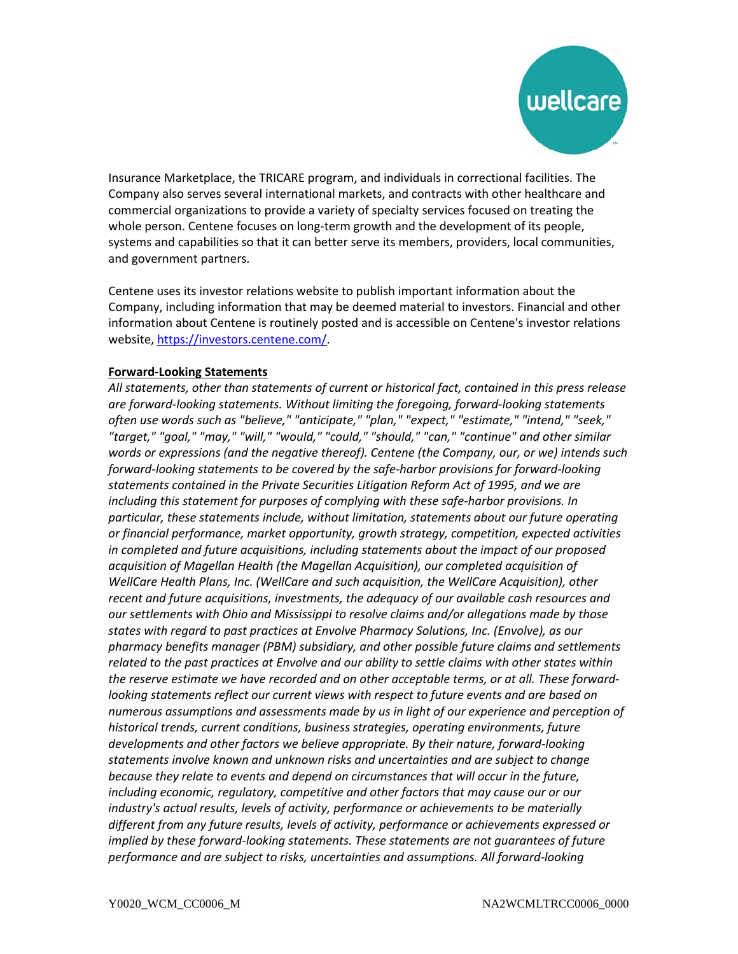

Insurance Marketplace, the TRICARE program, and individuals in correctional facilities. The Company also serves several international markets, and contracts with other healthcare and commercial organizations to provide a variety of specialty services focused on treating the whole person. Centene focuses on long-term growth and the development of its people, systems and capabilities so that it can better serve its members, providers, local communities, and government partners.

Centene uses its investor relations website to publish important information about the Company, including information that may be deemed material to investors. Financial and other information about Centene is routinely posted and is accessible on Centene's investor relations website, [https://investors.centene.com/.](https://urldefense.com/v3/__https:/c212.net/c/link/?t=0&l=en&o=3310934-2&h=833432498&u=https*3A*2F*2Finvestors.centene.com*2F&a=https*3A*2F*2Finvestors.centene.com*2F__;JSUlJSUlJSU!!Js732Vmb!8iimmVEYlIj76g5CGoS9a3JJWvSu1Gnh3nENaOlN-mhXSWY-vo5JiYc1XHlYB1quP4YB$)

### **Forward-Looking Statements**

*All statements, other than statements of current or historical fact, contained in this press release are forward-looking statements. Without limiting the foregoing, forward-looking statements often use words such as "believe," "anticipate," "plan," "expect," "estimate," "intend," "seek," "target," "goal," "may," "will," "would," "could," "should," "can," "continue" and other similar words or expressions (and the negative thereof). Centene (the Company, our, or we) intends such forward-looking statements to be covered by the safe-harbor provisions for forward-looking statements contained in the Private Securities Litigation Reform Act of 1995, and we are including this statement for purposes of complying with these safe-harbor provisions. In particular, these statements include, without limitation, statements about our future operating or financial performance, market opportunity, growth strategy, competition, expected activities in completed and future acquisitions, including statements about the impact of our proposed acquisition of Magellan Health (the Magellan Acquisition), our completed acquisition of WellCare Health Plans, Inc. (WellCare and such acquisition, the WellCare Acquisition), other recent and future acquisitions, investments, the adequacy of our available cash resources and our settlements with Ohio and Mississippi to resolve claims and/or allegations made by those states with regard to past practices at Envolve Pharmacy Solutions, Inc. (Envolve), as our pharmacy benefits manager (PBM) subsidiary, and other possible future claims and settlements related to the past practices at Envolve and our ability to settle claims with other states within the reserve estimate we have recorded and on other acceptable terms, or at all. These forwardlooking statements reflect our current views with respect to future events and are based on numerous assumptions and assessments made by us in light of our experience and perception of historical trends, current conditions, business strategies, operating environments, future developments and other factors we believe appropriate. By their nature, forward-looking statements involve known and unknown risks and uncertainties and are subject to change because they relate to events and depend on circumstances that will occur in the future,*  including economic, regulatory, competitive and other factors that may cause our or our *industry's actual results, levels of activity, performance or achievements to be materially different from any future results, levels of activity, performance or achievements expressed or implied by these forward-looking statements. These statements are not guarantees of future performance and are subject to risks, uncertainties and assumptions. All forward-looking*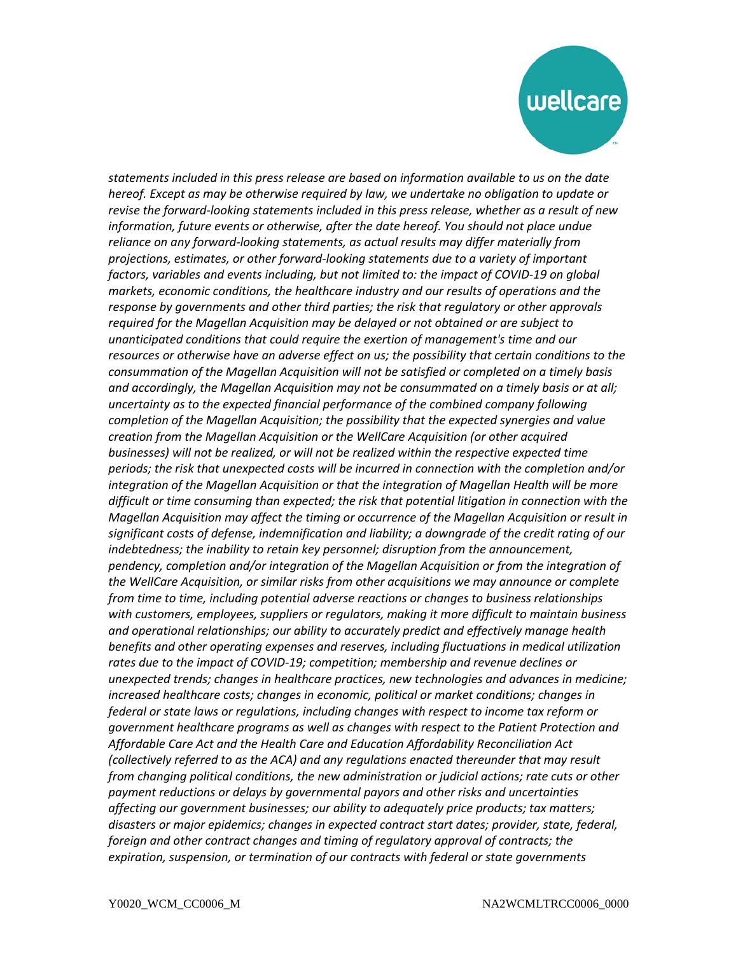

*statements included in this press release are based on information available to us on the date hereof. Except as may be otherwise required by law, we undertake no obligation to update or revise the forward-looking statements included in this press release, whether as a result of new information, future events or otherwise, after the date hereof. You should not place undue reliance on any forward-looking statements, as actual results may differ materially from projections, estimates, or other forward-looking statements due to a variety of important factors, variables and events including, but not limited to: the impact of COVID-19 on global markets, economic conditions, the healthcare industry and our results of operations and the response by governments and other third parties; the risk that regulatory or other approvals required for the Magellan Acquisition may be delayed or not obtained or are subject to unanticipated conditions that could require the exertion of management's time and our resources or otherwise have an adverse effect on us; the possibility that certain conditions to the consummation of the Magellan Acquisition will not be satisfied or completed on a timely basis and accordingly, the Magellan Acquisition may not be consummated on a timely basis or at all; uncertainty as to the expected financial performance of the combined company following completion of the Magellan Acquisition; the possibility that the expected synergies and value creation from the Magellan Acquisition or the WellCare Acquisition (or other acquired businesses) will not be realized, or will not be realized within the respective expected time periods; the risk that unexpected costs will be incurred in connection with the completion and/or integration of the Magellan Acquisition or that the integration of Magellan Health will be more difficult or time consuming than expected; the risk that potential litigation in connection with the Magellan Acquisition may affect the timing or occurrence of the Magellan Acquisition or result in significant costs of defense, indemnification and liability; a downgrade of the credit rating of our indebtedness; the inability to retain key personnel; disruption from the announcement, pendency, completion and/or integration of the Magellan Acquisition or from the integration of the WellCare Acquisition, or similar risks from other acquisitions we may announce or complete from time to time, including potential adverse reactions or changes to business relationships with customers, employees, suppliers or regulators, making it more difficult to maintain business and operational relationships; our ability to accurately predict and effectively manage health benefits and other operating expenses and reserves, including fluctuations in medical utilization*  rates due to the impact of COVID-19; competition; membership and revenue declines or *unexpected trends; changes in healthcare practices, new technologies and advances in medicine; increased healthcare costs; changes in economic, political or market conditions; changes in federal or state laws or regulations, including changes with respect to income tax reform or government healthcare programs as well as changes with respect to the Patient Protection and Affordable Care Act and the Health Care and Education Affordability Reconciliation Act (collectively referred to as the ACA) and any regulations enacted thereunder that may result from changing political conditions, the new administration or judicial actions; rate cuts or other payment reductions or delays by governmental payors and other risks and uncertainties affecting our government businesses; our ability to adequately price products; tax matters; disasters or major epidemics; changes in expected contract start dates; provider, state, federal, foreign and other contract changes and timing of regulatory approval of contracts; the expiration, suspension, or termination of our contracts with federal or state governments*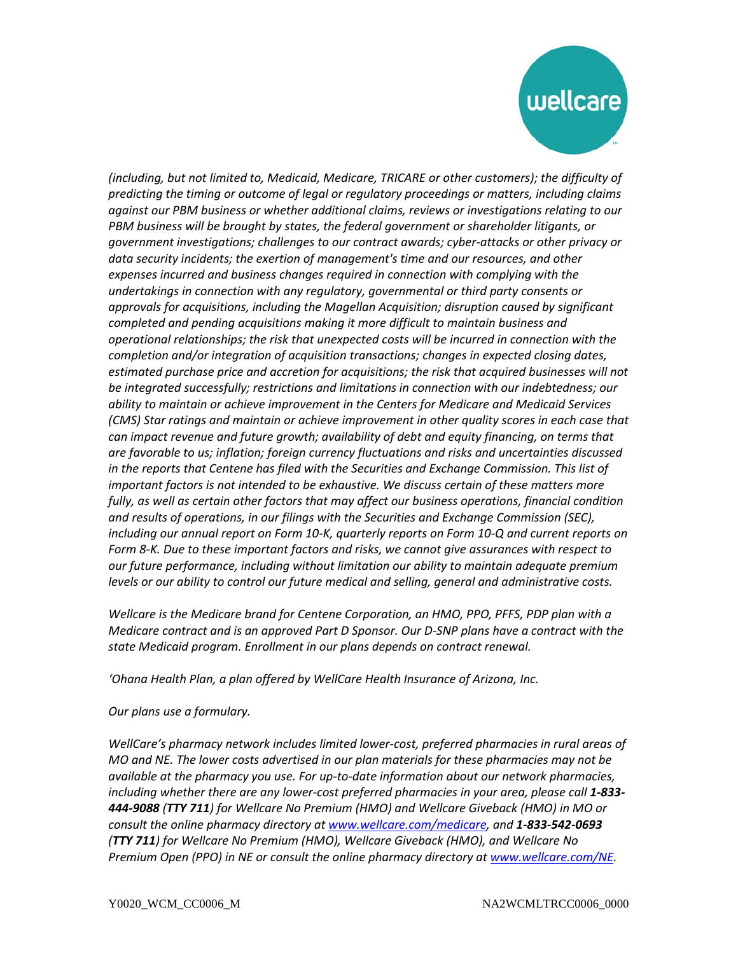

*(including, but not limited to, Medicaid, Medicare, TRICARE or other customers); the difficulty of predicting the timing or outcome of legal or regulatory proceedings or matters, including claims against our PBM business or whether additional claims, reviews or investigations relating to our PBM business will be brought by states, the federal government or shareholder litigants, or government investigations; challenges to our contract awards; cyber-attacks or other privacy or data security incidents; the exertion of management's time and our resources, and other expenses incurred and business changes required in connection with complying with the undertakings in connection with any regulatory, governmental or third party consents or approvals for acquisitions, including the Magellan Acquisition; disruption caused by significant completed and pending acquisitions making it more difficult to maintain business and operational relationships; the risk that unexpected costs will be incurred in connection with the completion and/or integration of acquisition transactions; changes in expected closing dates, estimated purchase price and accretion for acquisitions; the risk that acquired businesses will not be integrated successfully; restrictions and limitations in connection with our indebtedness; our ability to maintain or achieve improvement in the Centers for Medicare and Medicaid Services (CMS) Star ratings and maintain or achieve improvement in other quality scores in each case that can impact revenue and future growth; availability of debt and equity financing, on terms that are favorable to us; inflation; foreign currency fluctuations and risks and uncertainties discussed in the reports that Centene has filed with the Securities and Exchange Commission. This list of important factors is not intended to be exhaustive. We discuss certain of these matters more fully, as well as certain other factors that may affect our business operations, financial condition and results of operations, in our filings with the Securities and Exchange Commission (SEC), including our annual report on Form 10-K, quarterly reports on Form 10-Q and current reports on Form 8-K. Due to these important factors and risks, we cannot give assurances with respect to our future performance, including without limitation our ability to maintain adequate premium levels or our ability to control our future medical and selling, general and administrative costs.*

*Wellcare is the Medicare brand for Centene Corporation, an HMO, PPO, PFFS, PDP plan with a Medicare contract and is an approved Part D Sponsor. Our D-SNP plans have a contract with the state Medicaid program. Enrollment in our plans depends on contract renewal.*

*'Ohana Health Plan, a plan offered by WellCare Health Insurance of Arizona, Inc.*

## *Our plans use a formulary.*

*WellCare's pharmacy network includes limited lower-cost, preferred pharmacies in rural areas of MO and NE. The lower costs advertised in our plan materials for these pharmacies may not be available at the pharmacy you use. For up-to-date information about our network pharmacies, including whether there are any lower-cost preferred pharmacies in your area, please call 1-833-444-9088 (TTY 711) for Wellcare No Premium (HMO) and Wellcare Giveback (HMO) in MO or consult the online pharmacy directory a[t www.wellcare.com/medicare,](http://www.wellcare.com/medicare) and 1-833-542-0693 (TTY 711) for Wellcare No Premium (HMO), Wellcare Giveback (HMO), and Wellcare No Premium Open (PPO) in NE or consult the online pharmacy directory at [www.wellcare.com/NE.](http://www.wellcare.com/NE)*